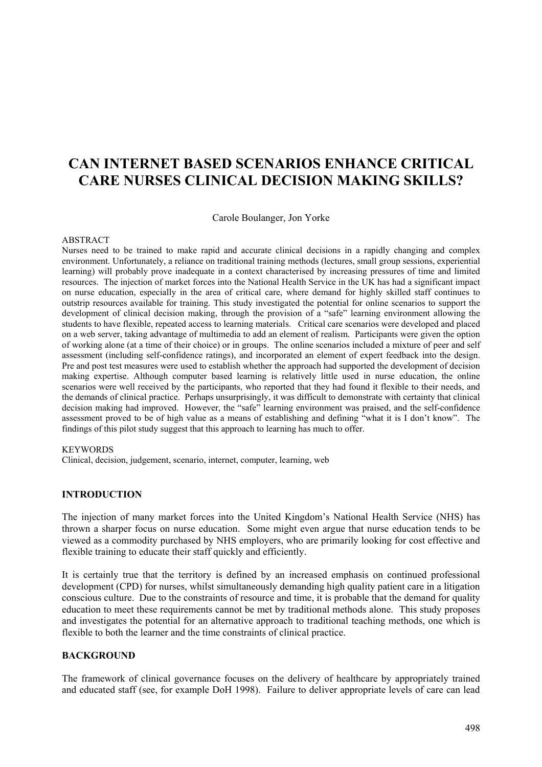# **CAN INTERNET BASED SCENARIOS ENHANCE CRITICAL CARE NURSES CLINICAL DECISION MAKING SKILLS?**

Carole Boulanger, Jon Yorke

#### ABSTRACT

Nurses need to be trained to make rapid and accurate clinical decisions in a rapidly changing and complex environment. Unfortunately, a reliance on traditional training methods (lectures, small group sessions, experiential learning) will probably prove inadequate in a context characterised by increasing pressures of time and limited resources. The injection of market forces into the National Health Service in the UK has had a significant impact on nurse education, especially in the area of critical care, where demand for highly skilled staff continues to outstrip resources available for training. This study investigated the potential for online scenarios to support the development of clinical decision making, through the provision of a "safe" learning environment allowing the students to have flexible, repeated access to learning materials. Critical care scenarios were developed and placed on a web server, taking advantage of multimedia to add an element of realism. Participants were given the option of working alone (at a time of their choice) or in groups. The online scenarios included a mixture of peer and self assessment (including self-confidence ratings), and incorporated an element of expert feedback into the design. Pre and post test measures were used to establish whether the approach had supported the development of decision making expertise. Although computer based learning is relatively little used in nurse education, the online scenarios were well received by the participants, who reported that they had found it flexible to their needs, and the demands of clinical practice. Perhaps unsurprisingly, it was difficult to demonstrate with certainty that clinical decision making had improved. However, the "safe" learning environment was praised, and the self-confidence assessment proved to be of high value as a means of establishing and defining "what it is I don't know". The findings of this pilot study suggest that this approach to learning has much to offer.

#### **KEYWORDS**

Clinical, decision, judgement, scenario, internet, computer, learning, web

## **INTRODUCTION**

The injection of many market forces into the United Kingdom's National Health Service (NHS) has thrown a sharper focus on nurse education. Some might even argue that nurse education tends to be viewed as a commodity purchased by NHS employers, who are primarily looking for cost effective and flexible training to educate their staff quickly and efficiently.

It is certainly true that the territory is defined by an increased emphasis on continued professional development (CPD) for nurses, whilst simultaneously demanding high quality patient care in a litigation conscious culture. Due to the constraints of resource and time, it is probable that the demand for quality education to meet these requirements cannot be met by traditional methods alone. This study proposes and investigates the potential for an alternative approach to traditional teaching methods, one which is flexible to both the learner and the time constraints of clinical practice.

## **BACKGROUND**

The framework of clinical governance focuses on the delivery of healthcare by appropriately trained and educated staff (see, for example DoH 1998). Failure to deliver appropriate levels of care can lead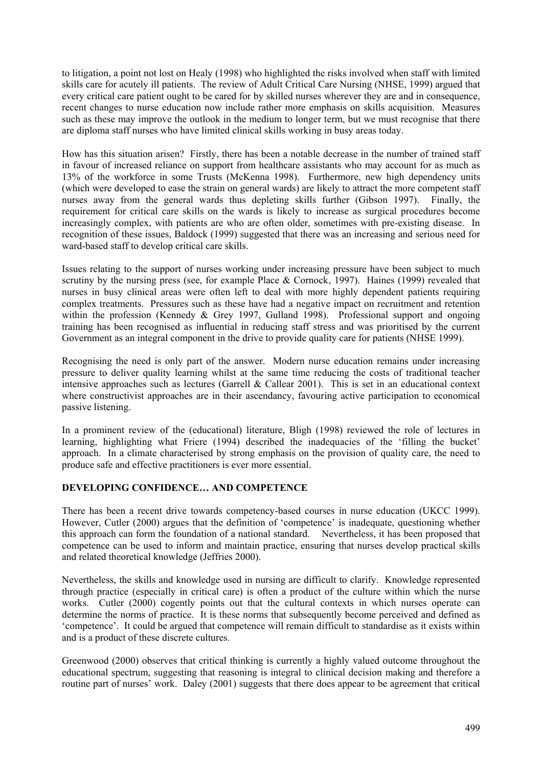to litigation, a point not lost on Healy (1998) who highlighted the risks involved when staff with limited skills care for acutely ill patients. The review of Adult Critical Care Nursing (NHSE, 1999) argued that every critical care patient ought to be cared for by skilled nurses wherever they are and in consequence, recent changes to nurse education now include rather more emphasis on skills acquisition. Measures such as these may improve the outlook in the medium to longer term, but we must recognise that there are diploma staff nurses who have limited clinical skills working in busy areas today.

How has this situation arisen? Firstly, there has been a notable decrease in the number of trained staff in favour of increased reliance on support from healthcare assistants who may account for as much as 13% of the workforce in some Trusts (McKenna 1998). Furthermore, new high dependency units (which were developed to ease the strain on general wards) are likely to attract the more competent staff nurses away from the general wards thus depleting skills further (Gibson 1997). Finally, the requirement for critical care skills on the wards is likely to increase as surgical procedures become increasingly complex, with patients are who are often older, sometimes with pre-existing disease. In recognition of these issues, Baldock (1999) suggested that there was an increasing and serious need for ward-based staff to develop critical care skills.

Issues relating to the support of nurses working under increasing pressure have been subject to much scrutiny by the nursing press (see, for example Place & Cornock, 1997). Haines (1999) revealed that nurses in busy clinical areas were often left to deal with more highly dependent patients requiring complex treatments. Pressures such as these have had a negative impact on recruitment and retention within the profession (Kennedy & Grey 1997, Gulland 1998). Professional support and ongoing training has been recognised as influential in reducing staff stress and was prioritised by the current Government as an integral component in the drive to provide quality care for patients (NHSE 1999).

Recognising the need is only part of the answer. Modern nurse education remains under increasing pressure to deliver quality learning whilst at the same time reducing the costs of traditional teacher intensive approaches such as lectures (Garrell & Callear 2001). This is set in an educational context where constructivist approaches are in their ascendancy, favouring active participation to economical passive listening.

In a prominent review of the (educational) literature, Bligh (1998) reviewed the role of lectures in learning, highlighting what Friere (1994) described the inadequacies of the 'filling the bucket' approach. In a climate characterised by strong emphasis on the provision of quality care, the need to produce safe and effective practitioners is ever more essential.

# **DEVELOPING CONFIDENCE… AND COMPETENCE**

There has been a recent drive towards competency-based courses in nurse education (UKCC 1999). However, Cutler (2000) argues that the definition of 'competence' is inadequate, questioning whether this approach can form the foundation of a national standard. Nevertheless, it has been proposed that competence can be used to inform and maintain practice, ensuring that nurses develop practical skills and related theoretical knowledge (Jeffries 2000).

Nevertheless, the skills and knowledge used in nursing are difficult to clarify. Knowledge represented through practice (especially in critical care) is often a product of the culture within which the nurse works. Cutler (2000) cogently points out that the cultural contexts in which nurses operate can determine the norms of practice. It is these norms that subsequently become perceived and defined as 'competence'. It could be argued that competence will remain difficult to standardise as it exists within and is a product of these discrete cultures.

Greenwood (2000) observes that critical thinking is currently a highly valued outcome throughout the educational spectrum, suggesting that reasoning is integral to clinical decision making and therefore a routine part of nurses' work. Daley (2001) suggests that there does appear to be agreement that critical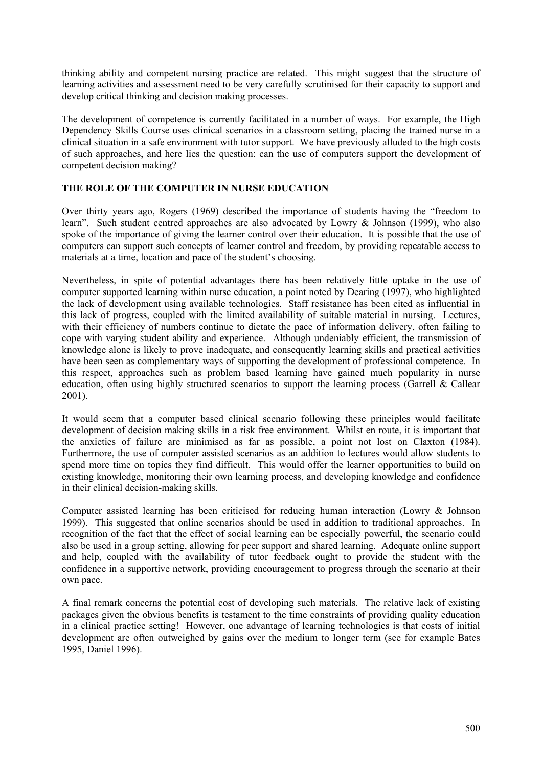thinking ability and competent nursing practice are related. This might suggest that the structure of learning activities and assessment need to be very carefully scrutinised for their capacity to support and develop critical thinking and decision making processes.

The development of competence is currently facilitated in a number of ways. For example, the High Dependency Skills Course uses clinical scenarios in a classroom setting, placing the trained nurse in a clinical situation in a safe environment with tutor support. We have previously alluded to the high costs of such approaches, and here lies the question: can the use of computers support the development of competent decision making?

# **THE ROLE OF THE COMPUTER IN NURSE EDUCATION**

Over thirty years ago, Rogers (1969) described the importance of students having the "freedom to learn". Such student centred approaches are also advocated by Lowry & Johnson (1999), who also spoke of the importance of giving the learner control over their education. It is possible that the use of computers can support such concepts of learner control and freedom, by providing repeatable access to materials at a time, location and pace of the student's choosing.

Nevertheless, in spite of potential advantages there has been relatively little uptake in the use of computer supported learning within nurse education, a point noted by Dearing (1997), who highlighted the lack of development using available technologies. Staff resistance has been cited as influential in this lack of progress, coupled with the limited availability of suitable material in nursing. Lectures, with their efficiency of numbers continue to dictate the pace of information delivery, often failing to cope with varying student ability and experience. Although undeniably efficient, the transmission of knowledge alone is likely to prove inadequate, and consequently learning skills and practical activities have been seen as complementary ways of supporting the development of professional competence. In this respect, approaches such as problem based learning have gained much popularity in nurse education, often using highly structured scenarios to support the learning process (Garrell & Callear 2001).

It would seem that a computer based clinical scenario following these principles would facilitate development of decision making skills in a risk free environment. Whilst en route, it is important that the anxieties of failure are minimised as far as possible, a point not lost on Claxton (1984). Furthermore, the use of computer assisted scenarios as an addition to lectures would allow students to spend more time on topics they find difficult. This would offer the learner opportunities to build on existing knowledge, monitoring their own learning process, and developing knowledge and confidence in their clinical decision-making skills.

Computer assisted learning has been criticised for reducing human interaction (Lowry & Johnson 1999). This suggested that online scenarios should be used in addition to traditional approaches. In recognition of the fact that the effect of social learning can be especially powerful, the scenario could also be used in a group setting, allowing for peer support and shared learning. Adequate online support and help, coupled with the availability of tutor feedback ought to provide the student with the confidence in a supportive network, providing encouragement to progress through the scenario at their own pace.

A final remark concerns the potential cost of developing such materials. The relative lack of existing packages given the obvious benefits is testament to the time constraints of providing quality education in a clinical practice setting! However, one advantage of learning technologies is that costs of initial development are often outweighed by gains over the medium to longer term (see for example Bates 1995, Daniel 1996).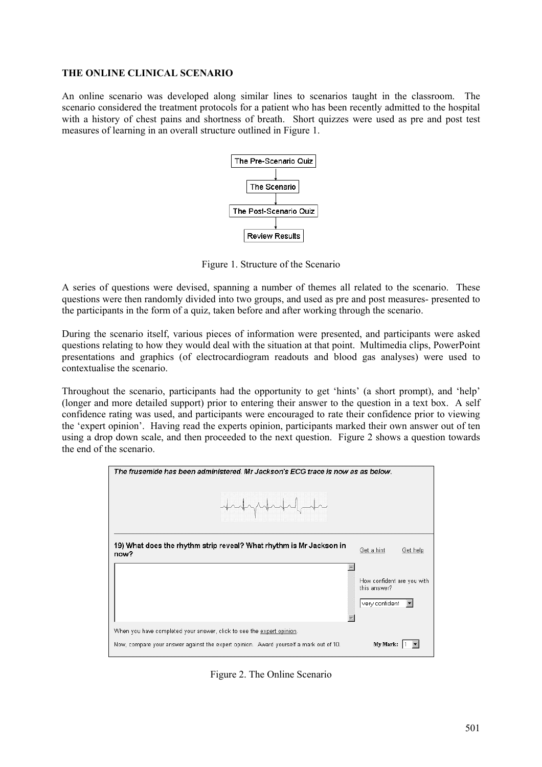### **THE ONLINE CLINICAL SCENARIO**

An online scenario was developed along similar lines to scenarios taught in the classroom. The scenario considered the treatment protocols for a patient who has been recently admitted to the hospital with a history of chest pains and shortness of breath. Short quizzes were used as pre and post test measures of learning in an overall structure outlined in Figure 1.



Figure 1. Structure of the Scenario

A series of questions were devised, spanning a number of themes all related to the scenario. These questions were then randomly divided into two groups, and used as pre and post measures- presented to the participants in the form of a quiz, taken before and after working through the scenario.

During the scenario itself, various pieces of information were presented, and participants were asked questions relating to how they would deal with the situation at that point. Multimedia clips, PowerPoint presentations and graphics (of electrocardiogram readouts and blood gas analyses) were used to contextualise the scenario.

Throughout the scenario, participants had the opportunity to get 'hints' (a short prompt), and 'help' (longer and more detailed support) prior to entering their answer to the question in a text box. A self confidence rating was used, and participants were encouraged to rate their confidence prior to viewing the 'expert opinion'. Having read the experts opinion, participants marked their own answer out of ten using a drop down scale, and then proceeded to the next question. Figure 2 shows a question towards the end of the scenario.



Figure 2. The Online Scenario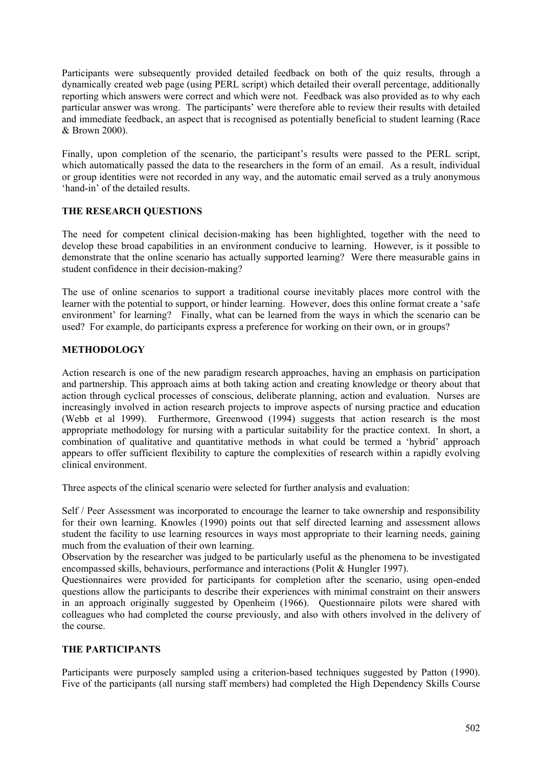Participants were subsequently provided detailed feedback on both of the quiz results, through a dynamically created web page (using PERL script) which detailed their overall percentage, additionally reporting which answers were correct and which were not. Feedback was also provided as to why each particular answer was wrong. The participants' were therefore able to review their results with detailed and immediate feedback, an aspect that is recognised as potentially beneficial to student learning (Race & Brown 2000).

Finally, upon completion of the scenario, the participant's results were passed to the PERL script, which automatically passed the data to the researchers in the form of an email. As a result, individual or group identities were not recorded in any way, and the automatic email served as a truly anonymous 'hand-in' of the detailed results.

## **THE RESEARCH QUESTIONS**

The need for competent clinical decision-making has been highlighted, together with the need to develop these broad capabilities in an environment conducive to learning. However, is it possible to demonstrate that the online scenario has actually supported learning? Were there measurable gains in student confidence in their decision-making?

The use of online scenarios to support a traditional course inevitably places more control with the learner with the potential to support, or hinder learning. However, does this online format create a 'safe environment' for learning? Finally, what can be learned from the ways in which the scenario can be used? For example, do participants express a preference for working on their own, or in groups?

# **METHODOLOGY**

Action research is one of the new paradigm research approaches, having an emphasis on participation and partnership. This approach aims at both taking action and creating knowledge or theory about that action through cyclical processes of conscious, deliberate planning, action and evaluation. Nurses are increasingly involved in action research projects to improve aspects of nursing practice and education (Webb et al 1999). Furthermore, Greenwood (1994) suggests that action research is the most appropriate methodology for nursing with a particular suitability for the practice context. In short, a combination of qualitative and quantitative methods in what could be termed a 'hybrid' approach appears to offer sufficient flexibility to capture the complexities of research within a rapidly evolving clinical environment.

Three aspects of the clinical scenario were selected for further analysis and evaluation:

Self / Peer Assessment was incorporated to encourage the learner to take ownership and responsibility for their own learning. Knowles (1990) points out that self directed learning and assessment allows student the facility to use learning resources in ways most appropriate to their learning needs, gaining much from the evaluation of their own learning.

Observation by the researcher was judged to be particularly useful as the phenomena to be investigated encompassed skills, behaviours, performance and interactions (Polit & Hungler 1997).

Questionnaires were provided for participants for completion after the scenario, using open-ended questions allow the participants to describe their experiences with minimal constraint on their answers in an approach originally suggested by Openheim (1966). Questionnaire pilots were shared with colleagues who had completed the course previously, and also with others involved in the delivery of the course.

# **THE PARTICIPANTS**

Participants were purposely sampled using a criterion-based techniques suggested by Patton (1990). Five of the participants (all nursing staff members) had completed the High Dependency Skills Course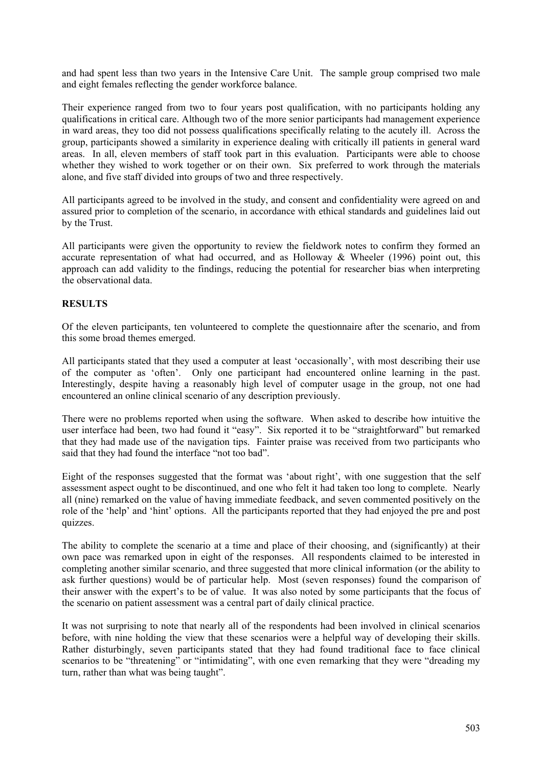and had spent less than two years in the Intensive Care Unit. The sample group comprised two male and eight females reflecting the gender workforce balance.

Their experience ranged from two to four years post qualification, with no participants holding any qualifications in critical care. Although two of the more senior participants had management experience in ward areas, they too did not possess qualifications specifically relating to the acutely ill. Across the group, participants showed a similarity in experience dealing with critically ill patients in general ward areas. In all, eleven members of staff took part in this evaluation. Participants were able to choose whether they wished to work together or on their own. Six preferred to work through the materials alone, and five staff divided into groups of two and three respectively.

All participants agreed to be involved in the study, and consent and confidentiality were agreed on and assured prior to completion of the scenario, in accordance with ethical standards and guidelines laid out by the Trust.

All participants were given the opportunity to review the fieldwork notes to confirm they formed an accurate representation of what had occurred, and as Holloway & Wheeler (1996) point out, this approach can add validity to the findings, reducing the potential for researcher bias when interpreting the observational data.

## **RESULTS**

Of the eleven participants, ten volunteered to complete the questionnaire after the scenario, and from this some broad themes emerged.

All participants stated that they used a computer at least 'occasionally', with most describing their use of the computer as 'often'. Only one participant had encountered online learning in the past. Interestingly, despite having a reasonably high level of computer usage in the group, not one had encountered an online clinical scenario of any description previously.

There were no problems reported when using the software. When asked to describe how intuitive the user interface had been, two had found it "easy". Six reported it to be "straightforward" but remarked that they had made use of the navigation tips. Fainter praise was received from two participants who said that they had found the interface "not too bad".

Eight of the responses suggested that the format was 'about right', with one suggestion that the self assessment aspect ought to be discontinued, and one who felt it had taken too long to complete. Nearly all (nine) remarked on the value of having immediate feedback, and seven commented positively on the role of the 'help' and 'hint' options. All the participants reported that they had enjoyed the pre and post quizzes.

The ability to complete the scenario at a time and place of their choosing, and (significantly) at their own pace was remarked upon in eight of the responses. All respondents claimed to be interested in completing another similar scenario, and three suggested that more clinical information (or the ability to ask further questions) would be of particular help. Most (seven responses) found the comparison of their answer with the expert's to be of value. It was also noted by some participants that the focus of the scenario on patient assessment was a central part of daily clinical practice.

It was not surprising to note that nearly all of the respondents had been involved in clinical scenarios before, with nine holding the view that these scenarios were a helpful way of developing their skills. Rather disturbingly, seven participants stated that they had found traditional face to face clinical scenarios to be "threatening" or "intimidating", with one even remarking that they were "dreading my turn, rather than what was being taught".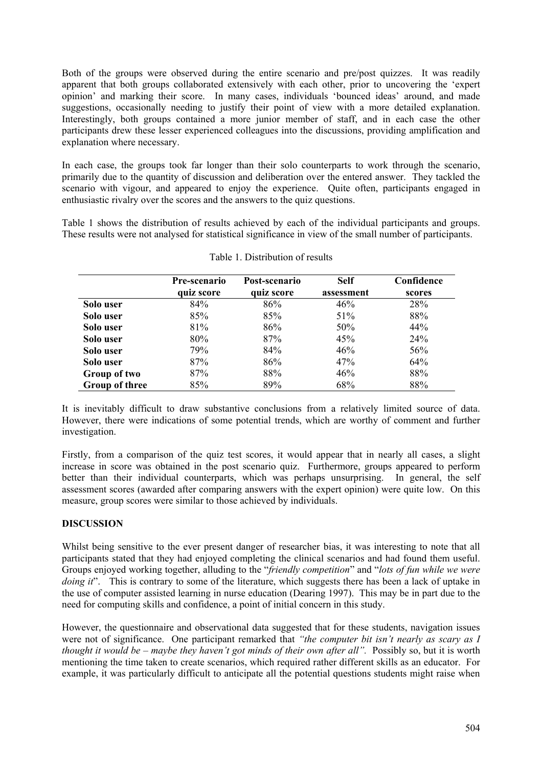Both of the groups were observed during the entire scenario and pre/post quizzes. It was readily apparent that both groups collaborated extensively with each other, prior to uncovering the 'expert opinion' and marking their score. In many cases, individuals 'bounced ideas' around, and made suggestions, occasionally needing to justify their point of view with a more detailed explanation. Interestingly, both groups contained a more junior member of staff, and in each case the other participants drew these lesser experienced colleagues into the discussions, providing amplification and explanation where necessary.

In each case, the groups took far longer than their solo counterparts to work through the scenario, primarily due to the quantity of discussion and deliberation over the entered answer. They tackled the scenario with vigour, and appeared to enjoy the experience. Quite often, participants engaged in enthusiastic rivalry over the scores and the answers to the quiz questions.

Table 1 shows the distribution of results achieved by each of the individual participants and groups. These results were not analysed for statistical significance in view of the small number of participants.

|                       | Pre-scenario | Post-scenario | <b>Self</b> | Confidence |
|-----------------------|--------------|---------------|-------------|------------|
|                       | quiz score   | quiz score    | assessment  | scores     |
| Solo user             | 84%          | 86%           | 46%         | 28%        |
| Solo user             | 85%          | 85%           | 51%         | 88%        |
| Solo user             | 81%          | 86%           | 50%         | 44%        |
| Solo user             | $80\%$       | 87%           | 45%         | 24%        |
| Solo user             | 79%          | 84%           | 46%         | 56%        |
| Solo user             | 87%          | 86%           | 47%         | 64%        |
| Group of two          | 87%          | 88%           | 46%         | 88%        |
| <b>Group of three</b> | 85%          | 89%           | 68%         | 88%        |

It is inevitably difficult to draw substantive conclusions from a relatively limited source of data. However, there were indications of some potential trends, which are worthy of comment and further investigation.

Firstly, from a comparison of the quiz test scores, it would appear that in nearly all cases, a slight increase in score was obtained in the post scenario quiz. Furthermore, groups appeared to perform better than their individual counterparts, which was perhaps unsurprising. In general, the self assessment scores (awarded after comparing answers with the expert opinion) were quite low. On this measure, group scores were similar to those achieved by individuals.

# **DISCUSSION**

Whilst being sensitive to the ever present danger of researcher bias, it was interesting to note that all participants stated that they had enjoyed completing the clinical scenarios and had found them useful. Groups enjoyed working together, alluding to the "*friendly competition*" and "*lots of fun while we were doing it*". This is contrary to some of the literature, which suggests there has been a lack of uptake in the use of computer assisted learning in nurse education (Dearing 1997). This may be in part due to the need for computing skills and confidence, a point of initial concern in this study.

However, the questionnaire and observational data suggested that for these students, navigation issues were not of significance. One participant remarked that *"the computer bit isn't nearly as scary as I thought it would be – maybe they haven't got minds of their own after all".* Possibly so, but it is worth mentioning the time taken to create scenarios, which required rather different skills as an educator. For example, it was particularly difficult to anticipate all the potential questions students might raise when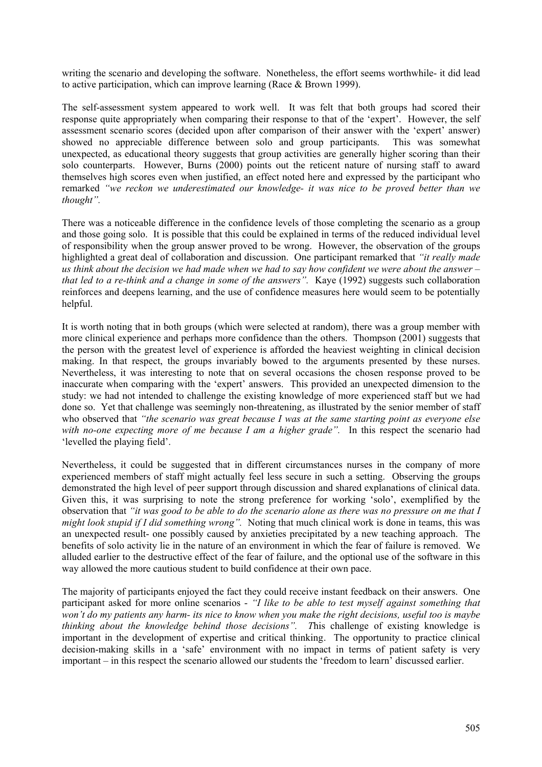writing the scenario and developing the software. Nonetheless, the effort seems worthwhile- it did lead to active participation, which can improve learning (Race & Brown 1999).

The self-assessment system appeared to work well. It was felt that both groups had scored their response quite appropriately when comparing their response to that of the 'expert'. However, the self assessment scenario scores (decided upon after comparison of their answer with the 'expert' answer) showed no appreciable difference between solo and group participants. This was somewhat unexpected, as educational theory suggests that group activities are generally higher scoring than their solo counterparts. However, Burns (2000) points out the reticent nature of nursing staff to award themselves high scores even when justified, an effect noted here and expressed by the participant who remarked *"we reckon we underestimated our knowledge- it was nice to be proved better than we thought".* 

There was a noticeable difference in the confidence levels of those completing the scenario as a group and those going solo. It is possible that this could be explained in terms of the reduced individual level of responsibility when the group answer proved to be wrong. However, the observation of the groups highlighted a great deal of collaboration and discussion. One participant remarked that *"it really made us think about the decision we had made when we had to say how confident we were about the answer – that led to a re-think and a change in some of the answers".* Kaye (1992) suggests such collaboration reinforces and deepens learning, and the use of confidence measures here would seem to be potentially helpful.

It is worth noting that in both groups (which were selected at random), there was a group member with more clinical experience and perhaps more confidence than the others. Thompson (2001) suggests that the person with the greatest level of experience is afforded the heaviest weighting in clinical decision making. In that respect, the groups invariably bowed to the arguments presented by these nurses. Nevertheless, it was interesting to note that on several occasions the chosen response proved to be inaccurate when comparing with the 'expert' answers. This provided an unexpected dimension to the study: we had not intended to challenge the existing knowledge of more experienced staff but we had done so. Yet that challenge was seemingly non-threatening, as illustrated by the senior member of staff who observed that *"the scenario was great because I was at the same starting point as everyone else*  with no-one expecting more of me because I am a higher grade". In this respect the scenario had 'levelled the playing field'.

Nevertheless, it could be suggested that in different circumstances nurses in the company of more experienced members of staff might actually feel less secure in such a setting. Observing the groups demonstrated the high level of peer support through discussion and shared explanations of clinical data. Given this, it was surprising to note the strong preference for working 'solo', exemplified by the observation that *"it was good to be able to do the scenario alone as there was no pressure on me that I might look stupid if I did something wrong".* Noting that much clinical work is done in teams, this was an unexpected result- one possibly caused by anxieties precipitated by a new teaching approach. The benefits of solo activity lie in the nature of an environment in which the fear of failure is removed. We alluded earlier to the destructive effect of the fear of failure, and the optional use of the software in this way allowed the more cautious student to build confidence at their own pace.

The majority of participants enjoyed the fact they could receive instant feedback on their answers. One participant asked for more online scenarios - *"I like to be able to test myself against something that won't do my patients any harm- its nice to know when you make the right decisions, useful too is maybe thinking about the knowledge behind those decisions". T*his challenge of existing knowledge is important in the development of expertise and critical thinking. The opportunity to practice clinical decision-making skills in a 'safe' environment with no impact in terms of patient safety is very important – in this respect the scenario allowed our students the 'freedom to learn' discussed earlier.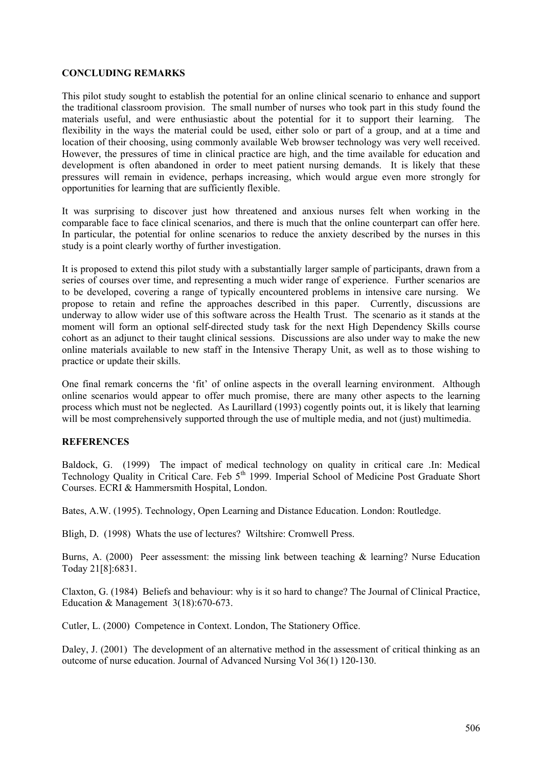## **CONCLUDING REMARKS**

This pilot study sought to establish the potential for an online clinical scenario to enhance and support the traditional classroom provision. The small number of nurses who took part in this study found the materials useful, and were enthusiastic about the potential for it to support their learning. The flexibility in the ways the material could be used, either solo or part of a group, and at a time and location of their choosing, using commonly available Web browser technology was very well received. However, the pressures of time in clinical practice are high, and the time available for education and development is often abandoned in order to meet patient nursing demands. It is likely that these pressures will remain in evidence, perhaps increasing, which would argue even more strongly for opportunities for learning that are sufficiently flexible.

It was surprising to discover just how threatened and anxious nurses felt when working in the comparable face to face clinical scenarios, and there is much that the online counterpart can offer here. In particular, the potential for online scenarios to reduce the anxiety described by the nurses in this study is a point clearly worthy of further investigation.

It is proposed to extend this pilot study with a substantially larger sample of participants, drawn from a series of courses over time, and representing a much wider range of experience. Further scenarios are to be developed, covering a range of typically encountered problems in intensive care nursing. We propose to retain and refine the approaches described in this paper. Currently, discussions are underway to allow wider use of this software across the Health Trust. The scenario as it stands at the moment will form an optional self-directed study task for the next High Dependency Skills course cohort as an adjunct to their taught clinical sessions. Discussions are also under way to make the new online materials available to new staff in the Intensive Therapy Unit, as well as to those wishing to practice or update their skills.

One final remark concerns the 'fit' of online aspects in the overall learning environment. Although online scenarios would appear to offer much promise, there are many other aspects to the learning process which must not be neglected. As Laurillard (1993) cogently points out, it is likely that learning will be most comprehensively supported through the use of multiple media, and not (just) multimedia.

## **REFERENCES**

Baldock, G. (1999) The impact of medical technology on quality in critical care .In: Medical Technology Quality in Critical Care. Feb 5<sup>th</sup> 1999. Imperial School of Medicine Post Graduate Short Courses. ECRI & Hammersmith Hospital, London.

Bates, A.W. (1995). Technology, Open Learning and Distance Education. London: Routledge.

Bligh, D. (1998) Whats the use of lectures? Wiltshire: Cromwell Press.

Burns, A. (2000) Peer assessment: the missing link between teaching  $\&$  learning? Nurse Education Today 21[8]:6831.

Claxton, G. (1984) Beliefs and behaviour: why is it so hard to change? The Journal of Clinical Practice, Education & Management 3(18):670-673.

Cutler, L. (2000) Competence in Context. London, The Stationery Office.

Daley, J. (2001) The development of an alternative method in the assessment of critical thinking as an outcome of nurse education. Journal of Advanced Nursing Vol 36(1) 120-130.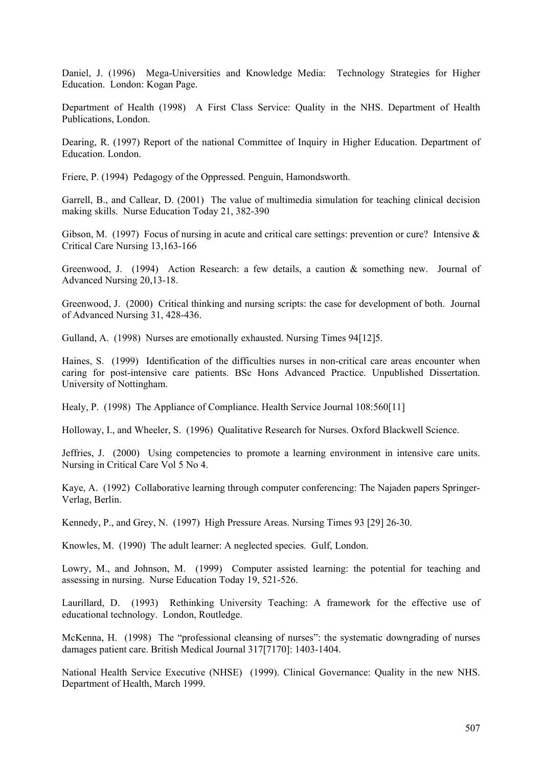Daniel, J. (1996) Mega-Universities and Knowledge Media: Technology Strategies for Higher Education. London: Kogan Page.

Department of Health (1998) A First Class Service: Quality in the NHS. Department of Health Publications, London.

Dearing, R. (1997) Report of the national Committee of Inquiry in Higher Education. Department of Education. London.

Friere, P. (1994) Pedagogy of the Oppressed. Penguin, Hamondsworth.

Garrell, B., and Callear, D. (2001) The value of multimedia simulation for teaching clinical decision making skills. Nurse Education Today 21, 382-390

Gibson, M. (1997) Focus of nursing in acute and critical care settings: prevention or cure? Intensive & Critical Care Nursing 13,163-166

Greenwood, J. (1994) Action Research: a few details, a caution & something new. Journal of Advanced Nursing 20,13-18.

Greenwood, J. (2000) Critical thinking and nursing scripts: the case for development of both. Journal of Advanced Nursing 31, 428-436.

Gulland, A. (1998) Nurses are emotionally exhausted. Nursing Times 94[12]5.

Haines, S. (1999) Identification of the difficulties nurses in non-critical care areas encounter when caring for post-intensive care patients. BSc Hons Advanced Practice. Unpublished Dissertation. University of Nottingham.

Healy, P. (1998) The Appliance of Compliance. Health Service Journal 108:560[11]

Holloway, I., and Wheeler, S. (1996) Qualitative Research for Nurses. Oxford Blackwell Science.

Jeffries, J. (2000) Using competencies to promote a learning environment in intensive care units. Nursing in Critical Care Vol 5 No 4.

Kaye, A. (1992) Collaborative learning through computer conferencing: The Najaden papers Springer-Verlag, Berlin.

Kennedy, P., and Grey, N. (1997) High Pressure Areas. Nursing Times 93 [29] 26-30.

Knowles, M. (1990) The adult learner: A neglected species. Gulf, London.

Lowry, M., and Johnson, M. (1999) Computer assisted learning: the potential for teaching and assessing in nursing. Nurse Education Today 19, 521-526.

Laurillard, D. (1993) Rethinking University Teaching: A framework for the effective use of educational technology. London, Routledge.

McKenna, H. (1998) The "professional cleansing of nurses": the systematic downgrading of nurses damages patient care. British Medical Journal 317[7170]: 1403-1404.

National Health Service Executive (NHSE) (1999). Clinical Governance: Quality in the new NHS. Department of Health, March 1999.